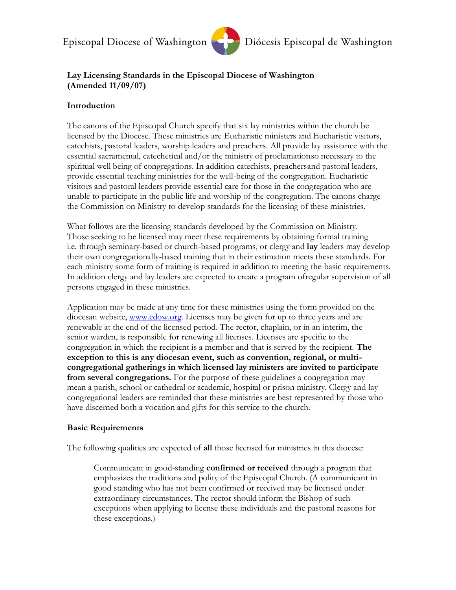

### **Lay Licensing Standards in the Episcopal Diocese of Washington (Amended 11/09/07)**

### **Introduction**

The canons of the Episcopal Church specify that six lay ministries within the church be licensed by the Diocese. These ministries are Eucharistic ministers and Eucharistic visitors, catechists, pastoral leaders, worship leaders and preachers. All provide lay assistance with the essential sacramental, catechetical and/or the ministry of proclamationso necessary to the spiritual well being of congregations. In addition catechists, preachersand pastoral leaders, provide essential teaching ministries for the well-being of the congregation. Eucharistic visitors and pastoral leaders provide essential care for those in the congregation who are unable to participate in the public life and worship of the congregation. The canons charge the Commission on Ministry to develop standards for the licensing of these ministries.

What follows are the licensing standards developed by the Commission on Ministry. Those seeking to be licensed may meet these requirements by obtaining formal training i.e. through seminary-based or church-based programs, or clergy and **lay** leaders may develop their own congregationally-based training that in their estimation meets these standards. For each ministry some form of training is required in addition to meeting the basic requirements. In addition clergy and lay leaders are expected to create a program ofregular supervision of all persons engaged in these ministries.

Application may be made at any time for these ministries using the form provided on the diocesan website, [www.edow.org.](http://www.edow.org/) Licenses may be given for up to three years and are renewable at the end of the licensed period. The rector, chaplain, or in an interim, the senior warden, is responsible for renewing all licenses. Licenses are specific to the congregation in which the recipient is a member and that is served by the recipient. **The exception to this is any diocesan event, such as convention, regional, or multicongregational gatherings in which licensed lay ministers are invited to participate from several congregations.** For the purpose of these guidelines a congregation may mean a parish, school or cathedral or academic, hospital or prison ministry. Clergy and lay congregational leaders are reminded that these ministries are best represented by those who have discerned both a vocation and gifts for this service to the church.

### **Basic Requirements**

The following qualities are expected of **all** those licensed for ministries in this diocese:

Communicant in good-standing **confirmed or received** through a program that emphasizes the traditions and polity of the Episcopal Church. (A communicant in good standing who has not been confirmed or received may be licensed under extraordinary circumstances. The rector should inform the Bishop of such exceptions when applying to license these individuals and the pastoral reasons for these exceptions.)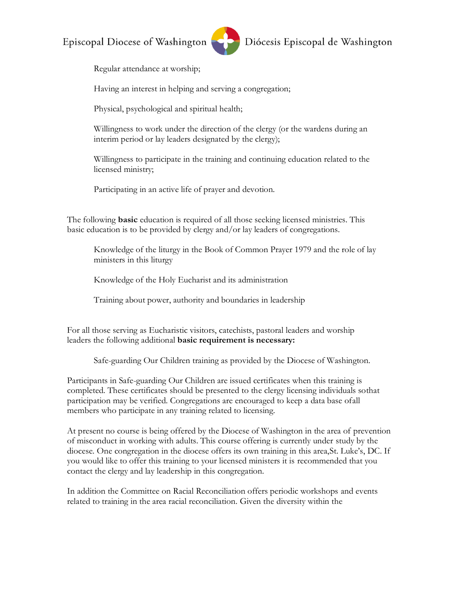

Diócesis Episcopal de Washington

Regular attendance at worship;

Having an interest in helping and serving a congregation;

Physical, psychological and spiritual health;

Willingness to work under the direction of the clergy (or the wardens during an interim period or lay leaders designated by the clergy);

Willingness to participate in the training and continuing education related to the licensed ministry;

Participating in an active life of prayer and devotion.

The following **basic** education is required of all those seeking licensed ministries. This basic education is to be provided by clergy and/or lay leaders of congregations.

Knowledge of the liturgy in the Book of Common Prayer 1979 and the role of lay ministers in this liturgy

Knowledge of the Holy Eucharist and its administration

Training about power, authority and boundaries in leadership

For all those serving as Eucharistic visitors, catechists, pastoral leaders and worship leaders the following additional **basic requirement is necessary:**

Safe-guarding Our Children training as provided by the Diocese of Washington.

Participants in Safe-guarding Our Children are issued certificates when this training is completed. These certificates should be presented to the clergy licensing individuals sothat participation may be verified. Congregations are encouraged to keep a data base ofall members who participate in any training related to licensing.

At present no course is being offered by the Diocese of Washington in the area of prevention of misconduct in working with adults. This course offering is currently under study by the diocese. One congregation in the diocese offers its own training in this area,St. Luke's, DC. If you would like to offer this training to your licensed ministers it is recommended that you contact the clergy and lay leadership in this congregation.

In addition the Committee on Racial Reconciliation offers periodic workshops and events related to training in the area racial reconciliation. Given the diversity within the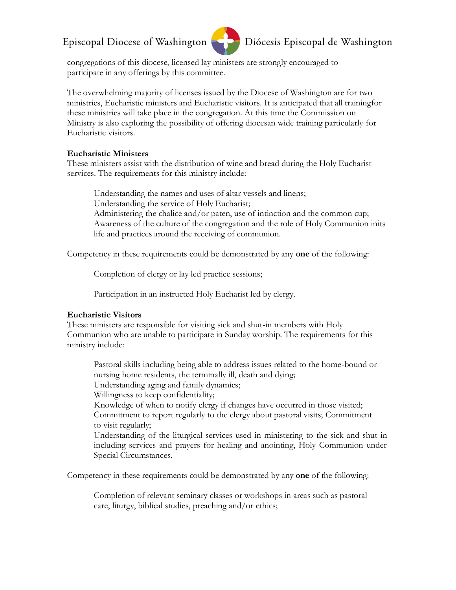

# Diócesis Episcopal de Washington

congregations of this diocese, licensed lay ministers are strongly encouraged to participate in any offerings by this committee.

The overwhelming majority of licenses issued by the Diocese of Washington are for two ministries, Eucharistic ministers and Eucharistic visitors. It is anticipated that all trainingfor these ministries will take place in the congregation. At this time the Commission on Ministry is also exploring the possibility of offering diocesan wide training particularly for Eucharistic visitors.

#### **Eucharistic Ministers**

These ministers assist with the distribution of wine and bread during the Holy Eucharist services. The requirements for this ministry include:

Understanding the names and uses of altar vessels and linens; Understanding the service of Holy Eucharist; Administering the chalice and/or paten, use of intinction and the common cup; Awareness of the culture of the congregation and the role of Holy Communion inits life and practices around the receiving of communion.

Competency in these requirements could be demonstrated by any **one** of the following:

Completion of clergy or lay led practice sessions;

Participation in an instructed Holy Eucharist led by clergy.

#### **Eucharistic Visitors**

These ministers are responsible for visiting sick and shut-in members with Holy Communion who are unable to participate in Sunday worship. The requirements for this ministry include:

Pastoral skills including being able to address issues related to the home-bound or nursing home residents, the terminally ill, death and dying;

Understanding aging and family dynamics;

Willingness to keep confidentiality;

Knowledge of when to notify clergy if changes have occurred in those visited; Commitment to report regularly to the clergy about pastoral visits; Commitment to visit regularly;

Understanding of the liturgical services used in ministering to the sick and shut-in including services and prayers for healing and anointing, Holy Communion under Special Circumstances.

Competency in these requirements could be demonstrated by any **one** of the following:

Completion of relevant seminary classes or workshops in areas such as pastoral care, liturgy, biblical studies, preaching and/or ethics;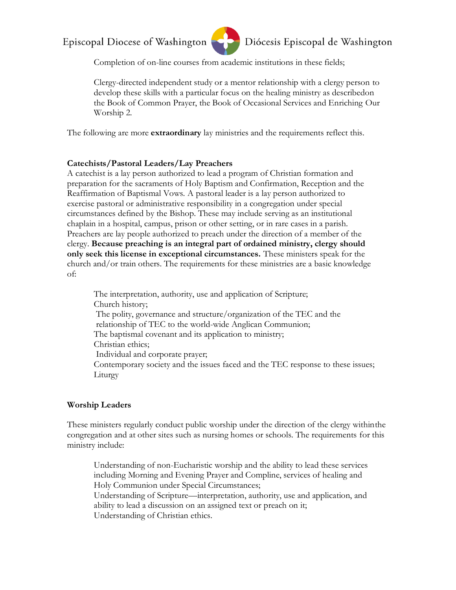

# Diócesis Episcopal de Washington

Completion of on-line courses from academic institutions in these fields;

Clergy-directed independent study or a mentor relationship with a clergy person to develop these skills with a particular focus on the healing ministry as describedon the Book of Common Prayer, the Book of Occasional Services and Enriching Our Worship 2.

The following are more **extraordinary** lay ministries and the requirements reflect this.

#### **Catechists/Pastoral Leaders/Lay Preachers**

A catechist is a lay person authorized to lead a program of Christian formation and preparation for the sacraments of Holy Baptism and Confirmation, Reception and the Reaffirmation of Baptismal Vows. A pastoral leader is a lay person authorized to exercise pastoral or administrative responsibility in a congregation under special circumstances defined by the Bishop. These may include serving as an institutional chaplain in a hospital, campus, prison or other setting, or in rare cases in a parish. Preachers are lay people authorized to preach under the direction of a member of the clergy. **Because preaching is an integral part of ordained ministry, clergy should only seek this license in exceptional circumstances.** These ministers speak for the church and/or train others. The requirements for these ministries are a basic knowledge of:

The interpretation, authority, use and application of Scripture; Church history; The polity, governance and structure/organization of the TEC and the relationship of TEC to the world-wide Anglican Communion; The baptismal covenant and its application to ministry; Christian ethics; Individual and corporate prayer; Contemporary society and the issues faced and the TEC response to these issues; Liturgy

#### **Worship Leaders**

These ministers regularly conduct public worship under the direction of the clergy withinthe congregation and at other sites such as nursing homes or schools. The requirements for this ministry include:

Understanding of non-Eucharistic worship and the ability to lead these services including Morning and Evening Prayer and Compline, services of healing and Holy Communion under Special Circumstances;

Understanding of Scripture—interpretation, authority, use and application, and ability to lead a discussion on an assigned text or preach on it; Understanding of Christian ethics.